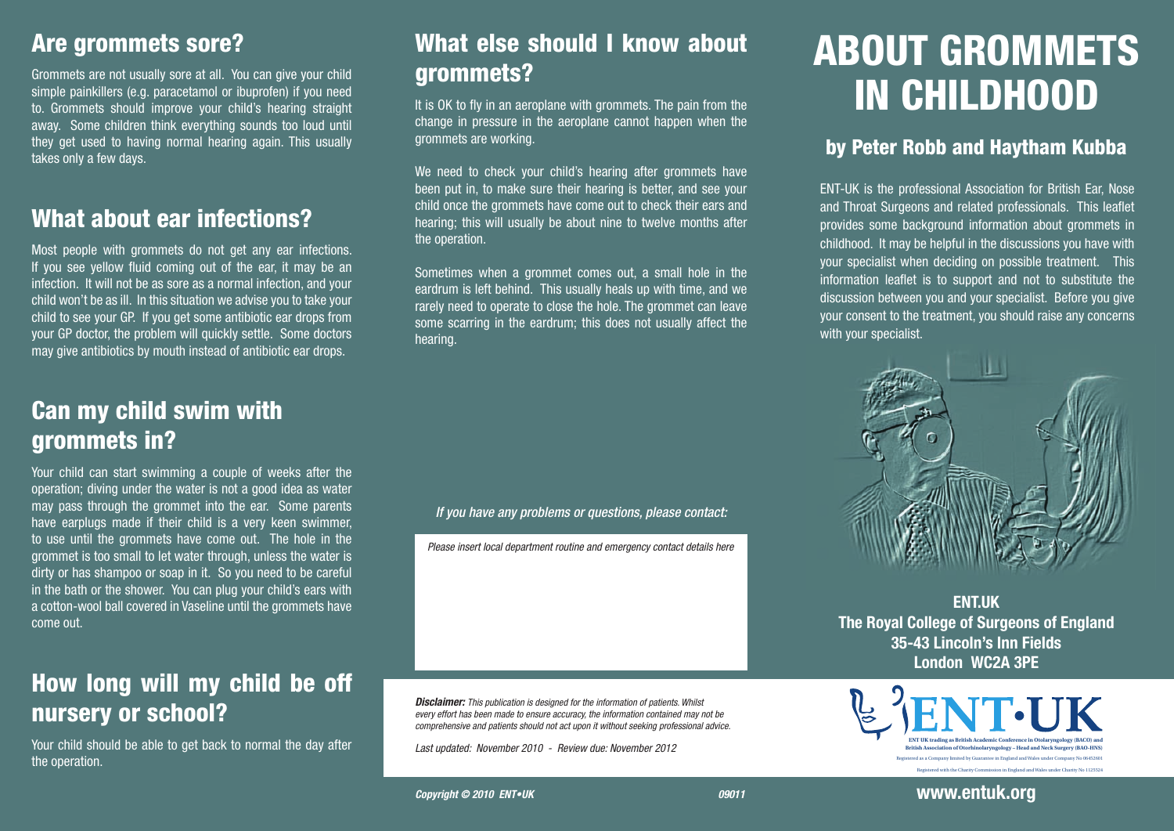#### Are grommets sore?

Grommets are not usually sore at all. You can give your child simple painkillers (e.g. paracetamol or ibuprofen) if you need to. Grommets should improve your child's hearing straight away. Some children think everything sounds too loud until they get used to having normal hearing again. This usually takes only a few days.

#### What about ear infections?

Most people with grommets do not get any ear infections. If you see yellow fluid coming out of the ear, it may be an infection. It will not be as sore as a normal infection, and your child won't be as ill. In this situation we advise you to take your child to see your GP. If you get some antibiotic ear drops from your GP doctor, the problem will quickly settle. Some doctors may give antibiotics by mouth instead of antibiotic ear drops.

#### Can my child swim with grommets in?

Your child can start swimming a couple of weeks after the operation; diving under the water is not a good idea as water may pass through the grommet into the ear. Some parents have earplugs made if their child is a very keen swimmer, to use until the grommets have come out. The hole in the grommet is too small to let water through, unless the water is dirty or has shampoo or soap in it. So you need to be careful in the bath or the shower. You can plug your child's ears with a cotton-wool ball covered in Vaseline until the grommets have come out.

#### How long will my child be off nursery or school?

Your child should be able to get back to normal the day after the operation.

#### What else should I know about grommets?

It is OK to fly in an aeroplane with grommets. The pain from the change in pressure in the aeroplane cannot happen when the grommets are working.

We need to check your child's hearing after grommets have been put in, to make sure their hearing is better, and see your child once the grommets have come out to check their ears and hearing; this will usually be about nine to twelve months after the operation.

Sometimes when a grommet comes out, a small hole in the eardrum is left behind. This usually heals up with time, and we rarely need to operate to close the hole. The grommet can leave some scarring in the eardrum; this does not usually affect the hearing.

#### *If you have any problems or questions, please contact:*

*Please insert local department routine and emergency contact details here*

*Disclaimer: This publication is designed for the information of patients. Whilst every effort has been made to ensure accuracy, the information contained may not be comprehensive and patients should not act upon it without seeking professional advice.*

*Last updated: November 2010 - Review due: November 2012* 

# ABOUT GROMMETS IN CHILDHOOD

#### by Peter Robb and Haytham Kubba

ENT-UK is the professional Association for British Ear, Nose and Throat Surgeons and related professionals. This leaflet provides some background information about grommets in childhood. It may be helpful in the discussions you have with your specialist when deciding on possible treatment. This information leaflet is to support and not to substitute the discussion between you and your specialist. Before you give your consent to the treatment, you should raise any concerns with your specialist.



**ENT.UK The Royal College of Surgeons of England 35-43 Lincoln's Inn Fields London WC2A 3PE**



**www.entuk.org**